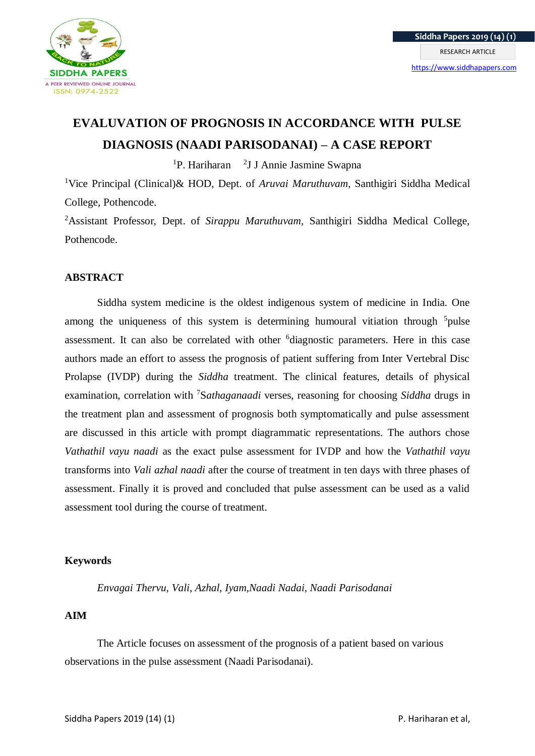

# **EVALUVATION OF PROGNOSIS IN ACCORDANCE WITH PULSE DIAGNOSIS (NAADI PARISODANAI) – A CASE REPORT**

<sup>1</sup>P. Hariharan <sup>2</sup>J J Annie Jasmine Swapna

<sup>1</sup>Vice Principal (Clinical)& HOD, Dept. of *Aruvai Maruthuvam,* Santhigiri Siddha Medical College, Pothencode.

<sup>2</sup>Assistant Professor, Dept. of *Sirappu Maruthuvam,* Santhigiri Siddha Medical College, Pothencode.

## **ABSTRACT**

Siddha system medicine is the oldest indigenous system of medicine in India. One among the uniqueness of this system is determining humoural vitiation through <sup>5</sup>pulse assessment. It can also be correlated with other <sup>6</sup>diagnostic parameters. Here in this case authors made an effort to assess the prognosis of patient suffering from Inter Vertebral Disc Prolapse (IVDP) during the *Siddha* treatment. The clinical features, details of physical examination, correlation with <sup>7</sup>S*athaganaadi* verses, reasoning for choosing *Siddha* drugs in the treatment plan and assessment of prognosis both symptomatically and pulse assessment are discussed in this article with prompt diagrammatic representations. The authors chose *Vathathil vayu naadi* as the exact pulse assessment for IVDP and how the *Vathathil vayu* transforms into *Vali azhal naadi* after the course of treatment in ten days with three phases of assessment. Finally it is proved and concluded that pulse assessment can be used as a valid assessment tool during the course of treatment.

## **Keywords**

*Envagai Thervu, Vali, Azhal, Iyam,Naadi Nadai, Naadi Parisodanai*

## **AIM**

The Article focuses on assessment of the prognosis of a patient based on various observations in the pulse assessment (Naadi Parisodanai).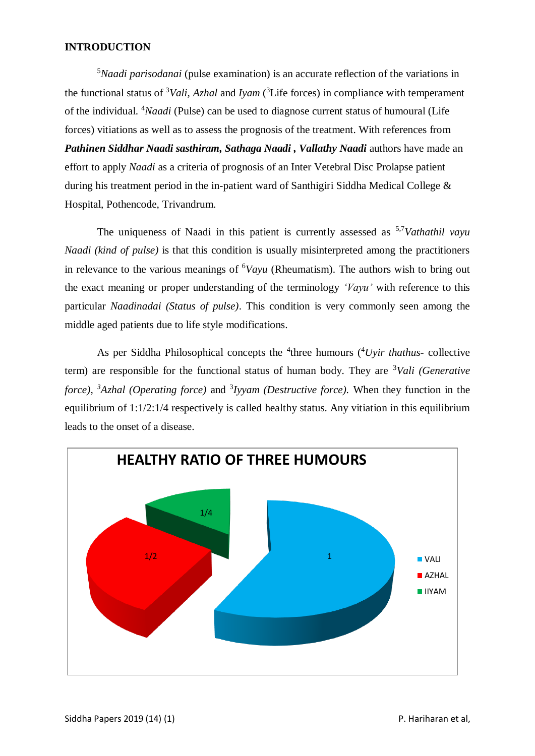## **INTRODUCTION**

<sup>5</sup>*Naadi parisodanai* (pulse examination) is an accurate reflection of the variations in the functional status of <sup>3</sup>*Vali, Azhal* and *Iyam* ( <sup>3</sup>Life forces) in compliance with temperament of the individual. <sup>4</sup>*Naadi* (Pulse) can be used to diagnose current status of humoural (Life forces) vitiations as well as to assess the prognosis of the treatment. With references from *Pathinen Siddhar Naadi sasthiram, Sathaga Naadi , Vallathy Naadi* authors have made an effort to apply *Naadi* as a criteria of prognosis of an Inter Vetebral Disc Prolapse patient during his treatment period in the in-patient ward of Santhigiri Siddha Medical College & Hospital, Pothencode, Trivandrum.

The uniqueness of Naadi in this patient is currently assessed as 5,7*Vathathil vayu Naadi (kind of pulse)* is that this condition is usually misinterpreted among the practitioners in relevance to the various meanings of <sup>6</sup>*Vayu* (Rheumatism). The authors wish to bring out the exact meaning or proper understanding of the terminology *'Vayu'* with reference to this particular *Naadinadai (Status of pulse)*. This condition is very commonly seen among the middle aged patients due to life style modifications.

As per Siddha Philosophical concepts the <sup>4</sup>three humours (<sup>4</sup>*Uyir thathus*- collective term) are responsible for the functional status of human body. They are <sup>3</sup>*Vali (Generative force), <sup>3</sup>Azhal (Operating force)* and <sup>3</sup> *Iyyam (Destructive force).* When they function in the equilibrium of 1:1/2:1/4 respectively is called healthy status. Any vitiation in this equilibrium leads to the onset of a disease.

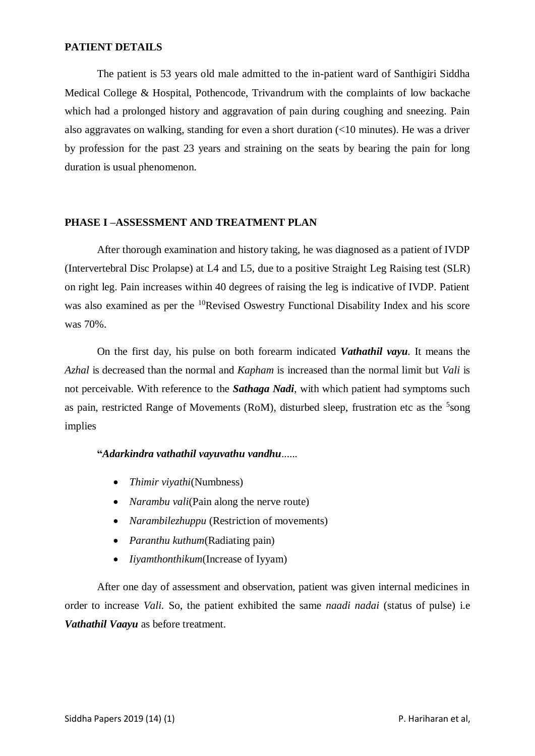## **PATIENT DETAILS**

The patient is 53 years old male admitted to the in-patient ward of Santhigiri Siddha Medical College & Hospital, Pothencode, Trivandrum with the complaints of low backache which had a prolonged history and aggravation of pain during coughing and sneezing. Pain also aggravates on walking, standing for even a short duration (<10 minutes). He was a driver by profession for the past 23 years and straining on the seats by bearing the pain for long duration is usual phenomenon.

## **PHASE I –ASSESSMENT AND TREATMENT PLAN**

After thorough examination and history taking, he was diagnosed as a patient of IVDP (Intervertebral Disc Prolapse) at L4 and L5, due to a positive Straight Leg Raising test (SLR) on right leg. Pain increases within 40 degrees of raising the leg is indicative of IVDP. Patient was also examined as per the <sup>10</sup>Revised Oswestry Functional Disability Index and his score was 70%.

On the first day, his pulse on both forearm indicated *Vathathil vayu*. It means the *Azhal* is decreased than the normal and *Kapham* is increased than the normal limit but *Vali* is not perceivable. With reference to the *Sathaga Nadi*, with which patient had symptoms such as pain, restricted Range of Movements (RoM), disturbed sleep, frustration etc as the <sup>5</sup>song implies

## **"***Adarkindra vathathil vayuvathu vandhu*......

- *Thimir viyathi*(Numbness)
- *Narambu vali*(Pain along the nerve route)
- *Narambilezhuppu* (Restriction of movements)
- *Paranthu kuthum*(Radiating pain)
- *Iiyamthonthikum*(Increase of Iyyam)

After one day of assessment and observation, patient was given internal medicines in order to increase *Vali.* So, the patient exhibited the same *naadi nadai* (status of pulse) i.e *Vathathil Vaayu* as before treatment.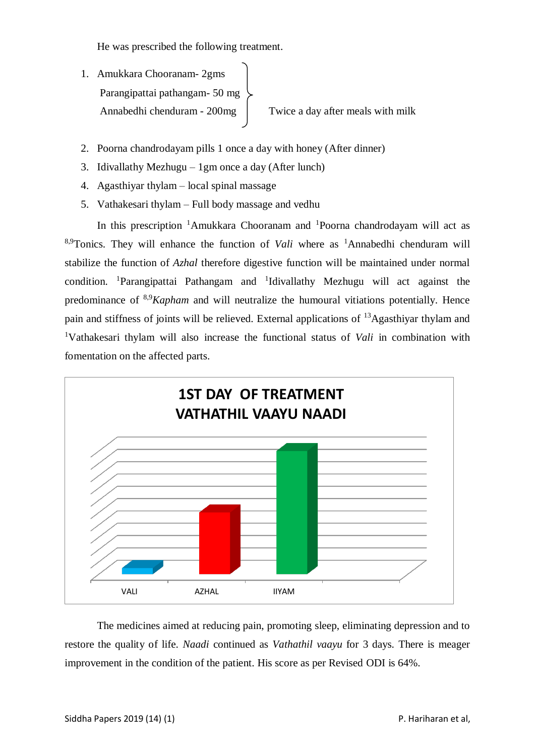He was prescribed the following treatment.

- 1. Amukkara Chooranam- 2gms Parangipattai pathangam- 50 mg Annabedhi chenduram - 200mg | Twice a day after meals with milk
- 2. Poorna chandrodayam pills 1 once a day with honey (After dinner)
- 3. Idivallathy Mezhugu 1gm once a day (After lunch)
- 4. Agasthiyar thylam local spinal massage
- 5. Vathakesari thylam Full body massage and vedhu

In this prescription <sup>1</sup>Amukkara Chooranam and <sup>1</sup>Poorna chandrodayam will act as <sup>8,9</sup>Tonics. They will enhance the function of *Vali* where as <sup>1</sup>Annabedhi chenduram will stabilize the function of *Azhal* therefore digestive function will be maintained under normal condition. <sup>1</sup>Parangipattai Pathangam and <sup>1</sup>Idivallathy Mezhugu will act against the predominance of 8,9*Kapham* and will neutralize the humoural vitiations potentially. Hence pain and stiffness of joints will be relieved. External applications of <sup>13</sup>Agasthiyar thylam and <sup>1</sup>Vathakesari thylam will also increase the functional status of *Vali* in combination with fomentation on the affected parts.



The medicines aimed at reducing pain, promoting sleep, eliminating depression and to restore the quality of life. *Naadi* continued as *Vathathil vaayu* for 3 days. There is meager improvement in the condition of the patient. His score as per Revised ODI is 64%.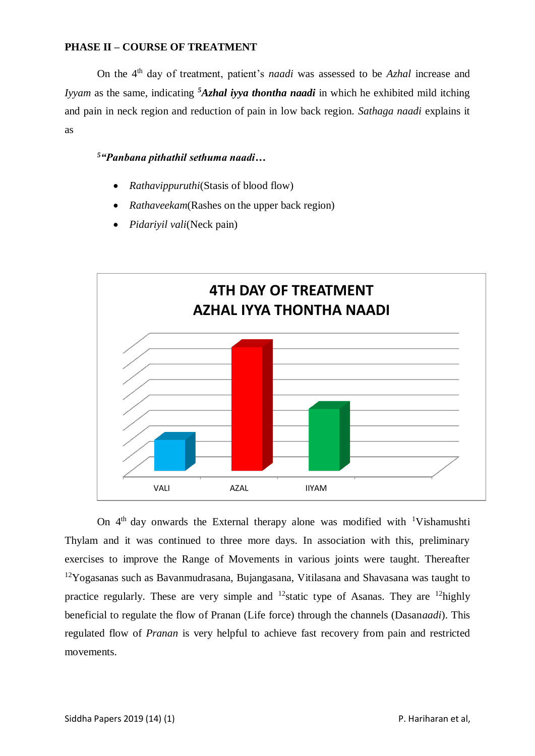## **PHASE II – COURSE OF TREATMENT**

On the 4th day of treatment, patient's *naadi* was assessed to be *Azhal* increase and *Iyyam* as the same, indicating *<sup>5</sup>Azhal iyya thontha naadi* in which he exhibited mild itching and pain in neck region and reduction of pain in low back region. *Sathaga naadi* explains it as

## *<sup>5</sup>"Panbana pithathil sethuma naadi***…**

- *Rathavippuruthi*(Stasis of blood flow)
- *Rathaveekam*(Rashes on the upper back region)
- *Pidariyil vali*(Neck pain)



On  $4<sup>th</sup>$  day onwards the External therapy alone was modified with <sup>1</sup>Vishamushti Thylam and it was continued to three more days. In association with this, preliminary exercises to improve the Range of Movements in various joints were taught. Thereafter  $12Y$ ogasanas such as Bavanmudrasana, Bujangasana, Vitilasana and Shavasana was taught to practice regularly. These are very simple and <sup>12</sup> static type of Asanas. They are <sup>12</sup> highly beneficial to regulate the flow of Pranan (Life force) through the channels (Dasan*aadi*). This regulated flow of *Pranan* is very helpful to achieve fast recovery from pain and restricted movements.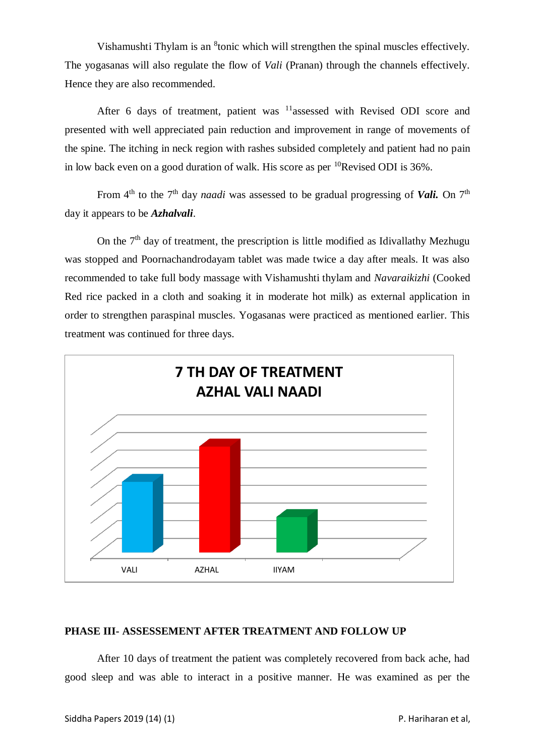Vishamushti Thylam is an <sup>8</sup>tonic which will strengthen the spinal muscles effectively. The yogasanas will also regulate the flow of *Vali* (Pranan) through the channels effectively. Hence they are also recommended.

After 6 days of treatment, patient was <sup>11</sup>assessed with Revised ODI score and presented with well appreciated pain reduction and improvement in range of movements of the spine. The itching in neck region with rashes subsided completely and patient had no pain in low back even on a good duration of walk. His score as per  ${}^{10}$ Revised ODI is 36%.

From 4<sup>th</sup> to the 7<sup>th</sup> day *naadi* was assessed to be gradual progressing of *Vali.* On 7<sup>th</sup> day it appears to be *Azhalvali*.

On the  $7<sup>th</sup>$  day of treatment, the prescription is little modified as Idivallathy Mezhugu was stopped and Poornachandrodayam tablet was made twice a day after meals. It was also recommended to take full body massage with Vishamushti thylam and *Navaraikizhi* (Cooked Red rice packed in a cloth and soaking it in moderate hot milk) as external application in order to strengthen paraspinal muscles. Yogasanas were practiced as mentioned earlier. This treatment was continued for three days.



#### **PHASE III- ASSESSEMENT AFTER TREATMENT AND FOLLOW UP**

After 10 days of treatment the patient was completely recovered from back ache, had good sleep and was able to interact in a positive manner. He was examined as per the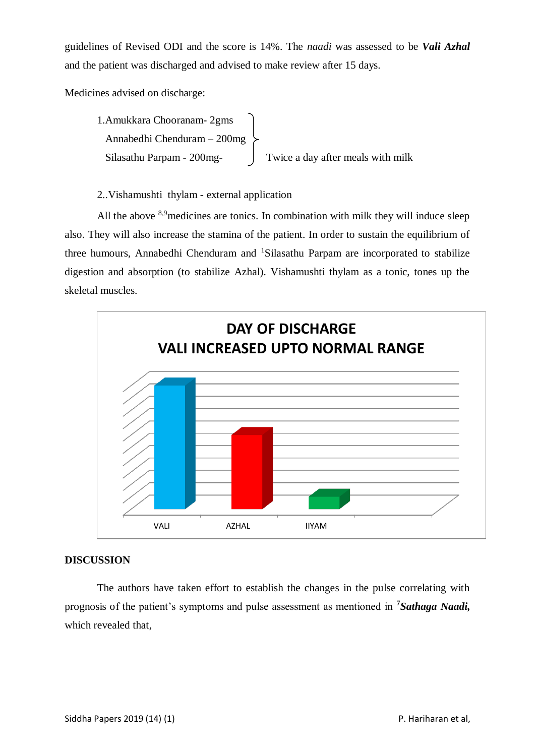guidelines of Revised ODI and the score is 14%. The *naadi* was assessed to be *Vali Azhal* and the patient was discharged and advised to make review after 15 days.

Medicines advised on discharge:

```
1.Amukkara Chooranam- 2gms
 Annabedhi Chenduram – 200mg
Silasathu Parpam - 200mg-<br>Twice a day after meals with milk
```
2..Vishamushti thylam - external application

All the above  $8.9$  medicines are tonics. In combination with milk they will induce sleep also. They will also increase the stamina of the patient. In order to sustain the equilibrium of three humours, Annabedhi Chenduram and <sup>1</sup>Silasathu Parpam are incorporated to stabilize digestion and absorption (to stabilize Azhal). Vishamushti thylam as a tonic, tones up the skeletal muscles.



## **DISCUSSION**

The authors have taken effort to establish the changes in the pulse correlating with prognosis of the patient's symptoms and pulse assessment as mentioned in **<sup>7</sup>***Sathaga Naadi,*  which revealed that,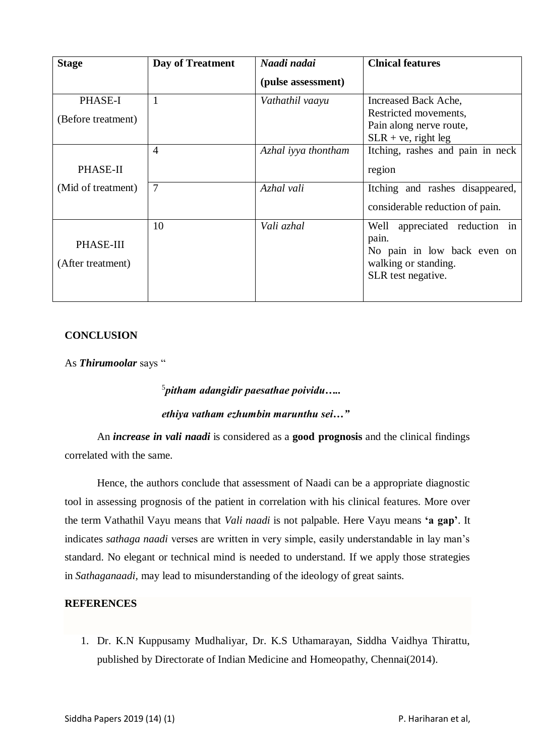| <b>Stage</b>       | Day of Treatment | Naadi nadai         | <b>Clnical features</b>          |
|--------------------|------------------|---------------------|----------------------------------|
|                    |                  | (pulse assessment)  |                                  |
| PHASE-I            | $\overline{1}$   | Vathathil vaayu     | Increased Back Ache,             |
| (Before treatment) |                  |                     | Restricted movements,            |
|                    |                  |                     | Pain along nerve route,          |
|                    |                  |                     | $SLR + ve$ , right leg           |
|                    | $\overline{A}$   | Azhal iyya thontham | Itching, rashes and pain in neck |
| PHASE-II           |                  |                     | region                           |
| (Mid of treatment) | $\overline{7}$   | Azhal vali          | Itching and rashes disappeared,  |
|                    |                  |                     | considerable reduction of pain.  |
|                    | 10               | Vali azhal          | Well<br>appreciated reduction in |
| PHASE-III          |                  |                     | pain.                            |
|                    |                  |                     | No pain in low back even on      |
| (After treatment)  |                  |                     | walking or standing.             |
|                    |                  |                     | SLR test negative.               |
|                    |                  |                     |                                  |

## **CONCLUSION**

As *Thirumoolar* says "

5 *pitham adangidir paesathae poividu….. ethiya vatham ezhumbin marunthu sei…"* 

An *increase in vali naadi* is considered as a **good prognosis** and the clinical findings correlated with the same.

Hence, the authors conclude that assessment of Naadi can be a appropriate diagnostic tool in assessing prognosis of the patient in correlation with his clinical features. More over the term Vathathil Vayu means that *Vali naadi* is not palpable. Here Vayu means **'a gap'**. It indicates *sathaga naadi* verses are written in very simple, easily understandable in lay man's standard. No elegant or technical mind is needed to understand. If we apply those strategies in *Sathaganaadi,* may lead to misunderstanding of the ideology of great saints.

## **REFERENCES**

1. Dr. K.N Kuppusamy Mudhaliyar, Dr. K.S Uthamarayan, Siddha Vaidhya Thirattu, published by Directorate of Indian Medicine and Homeopathy, Chennai(2014).